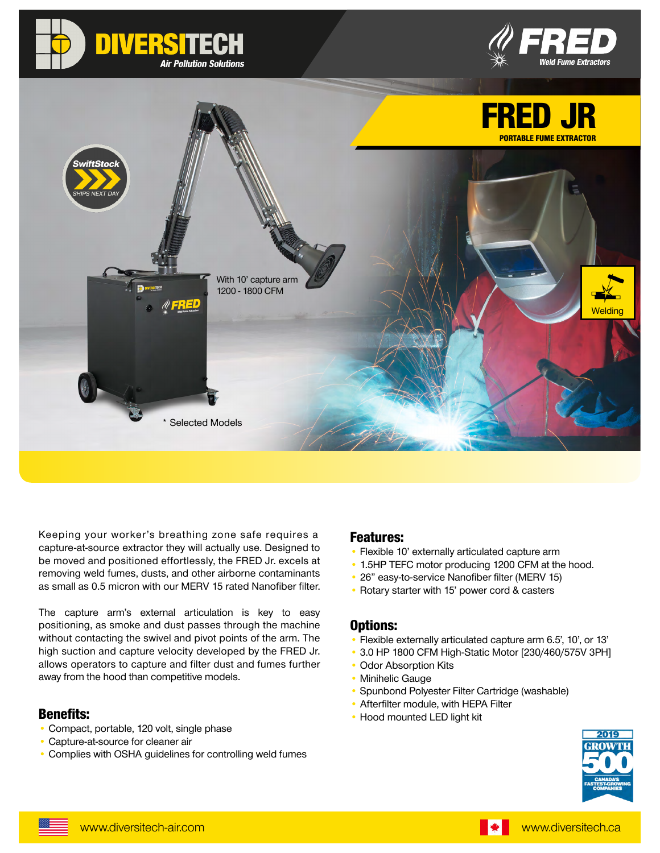





Keeping your worker's breathing zone safe requires a capture-at-source extractor they will actually use. Designed to be moved and positioned effortlessly, the FRED Jr. excels at removing weld fumes, dusts, and other airborne contaminants as small as 0.5 micron with our MERV 15 rated Nanofiber filter.

The capture arm's external articulation is key to easy positioning, as smoke and dust passes through the machine without contacting the swivel and pivot points of the arm. The high suction and capture velocity developed by the FRED Jr. allows operators to capture and filter dust and fumes further away from the hood than competitive models.

### Benefits:

- Compact, portable, 120 volt, single phase
- Capture-at-source for cleaner air
- Complies with OSHA guidelines for controlling weld fumes

### Features:

- Flexible 10' externally articulated capture arm
- 1.5HP TEFC motor producing 1200 CFM at the hood.
- 26" easy-to-service Nanofiber filter (MERV 15)
- Rotary starter with 15' power cord & casters

### Options:

- Flexible externally articulated capture arm 6.5', 10', or 13'
- 3.0 HP 1800 CFM High-Static Motor [230/460/575V 3PH]
- Odor Absorption Kits
- Minihelic Gauge
- Spunbond Polyester Filter Cartridge (washable)
- Afterfilter module, with HEPA Filter
- Hood mounted LED light kit